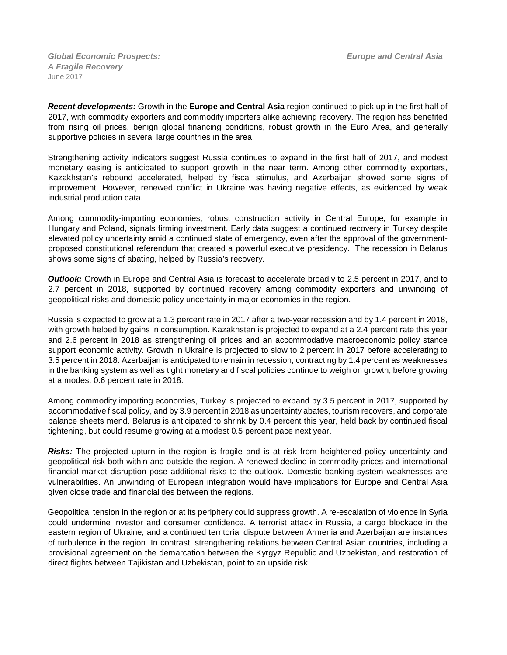*Global Economic Prospects:**Europe and Central Asia A Fragile Recovery* June 2017

*Recent developments:* Growth in the **Europe and Central Asia** region continued to pick up in the first half of 2017, with commodity exporters and commodity importers alike achieving recovery. The region has benefited from rising oil prices, benign global financing conditions, robust growth in the Euro Area, and generally supportive policies in several large countries in the area.

Strengthening activity indicators suggest Russia continues to expand in the first half of 2017, and modest monetary easing is anticipated to support growth in the near term. Among other commodity exporters, Kazakhstan's rebound accelerated, helped by fiscal stimulus, and Azerbaijan showed some signs of improvement. However, renewed conflict in Ukraine was having negative effects, as evidenced by weak industrial production data.

Among commodity-importing economies, robust construction activity in Central Europe, for example in Hungary and Poland, signals firming investment. Early data suggest a continued recovery in Turkey despite elevated policy uncertainty amid a continued state of emergency, even after the approval of the governmentproposed constitutional referendum that created a powerful executive presidency. The recession in Belarus shows some signs of abating, helped by Russia's recovery.

*Outlook:* Growth in Europe and Central Asia is forecast to accelerate broadly to 2.5 percent in 2017, and to 2.7 percent in 2018, supported by continued recovery among commodity exporters and unwinding of geopolitical risks and domestic policy uncertainty in major economies in the region.

Russia is expected to grow at a 1.3 percent rate in 2017 after a two-year recession and by 1.4 percent in 2018, with growth helped by gains in consumption. Kazakhstan is projected to expand at a 2.4 percent rate this year and 2.6 percent in 2018 as strengthening oil prices and an accommodative macroeconomic policy stance support economic activity. Growth in Ukraine is projected to slow to 2 percent in 2017 before accelerating to 3.5 percent in 2018. Azerbaijan is anticipated to remain in recession, contracting by 1.4 percent as weaknesses in the banking system as well as tight monetary and fiscal policies continue to weigh on growth, before growing at a modest 0.6 percent rate in 2018.

Among commodity importing economies, Turkey is projected to expand by 3.5 percent in 2017, supported by accommodative fiscal policy, and by 3.9 percent in 2018 as uncertainty abates, tourism recovers, and corporate balance sheets mend. Belarus is anticipated to shrink by 0.4 percent this year, held back by continued fiscal tightening, but could resume growing at a modest 0.5 percent pace next year.

*Risks:* The projected upturn in the region is fragile and is at risk from heightened policy uncertainty and geopolitical risk both within and outside the region. A renewed decline in commodity prices and international financial market disruption pose additional risks to the outlook. Domestic banking system weaknesses are vulnerabilities. An unwinding of European integration would have implications for Europe and Central Asia given close trade and financial ties between the regions.

Geopolitical tension in the region or at its periphery could suppress growth. A re-escalation of violence in Syria could undermine investor and consumer confidence. A terrorist attack in Russia, a cargo blockade in the eastern region of Ukraine, and a continued territorial dispute between Armenia and Azerbaijan are instances of turbulence in the region. In contrast, strengthening relations between Central Asian countries, including a provisional agreement on the demarcation between the Kyrgyz Republic and Uzbekistan, and restoration of direct flights between Tajikistan and Uzbekistan, point to an upside risk.